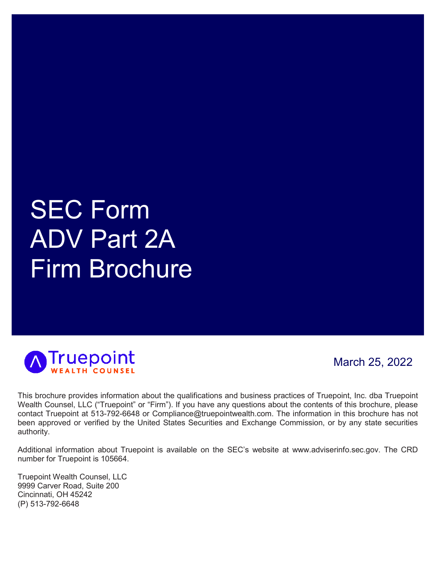# SEC Form ADV Part 2A Firm Brochure



March 25, 2022

This brochure provides information about the qualifications and business practices of Truepoint, Inc. dba Truepoint Wealth Counsel, LLC ("Truepoint" or "Firm"). If you have any questions about the contents of this brochure, please contact Truepoint at 513-792-6648 or Compliance@truepointwealth.com. The information in this brochure has not been approved or verified by the United States Securities and Exchange Commission, or by any state securities authority.

Additional information about Truepoint is available on the SEC's website at www.adviserinfo.sec.gov. The CRD number for Truepoint is 105664.

Truepoint Wealth Counsel, LLC 9999 Carver Road, Suite 200 Cincinnati, OH 45242 (P) 513-792-6648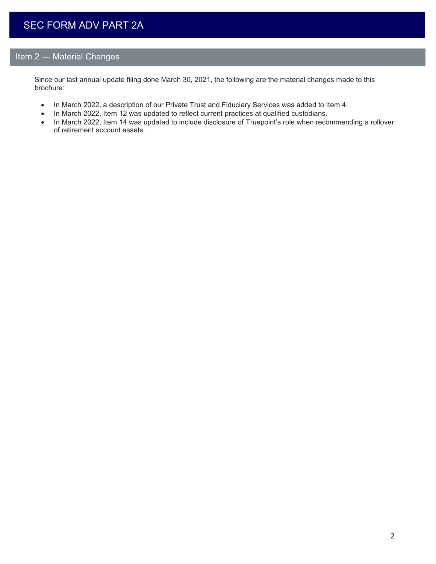## Item 2 — Material Changes

Since our last annual update filing done March 30, 2021, the following are the material changes made to this brochure:

- In March 2022, a description of our Private Trust and Fiduciary Services was added to Item 4.
- In March 2022, Item 12 was updated to reflect current practices at qualified custodians.
- In March 2022, Item 14 was updated to include disclosure of Truepoint's role when recommending a rollover of retirement account assets.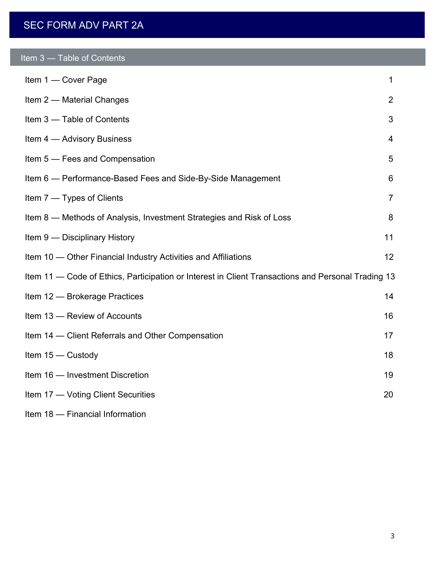# SEC FORM ADV PART 2A

| Item <sub>3</sub> |  | <b>Table of Contents</b> |
|-------------------|--|--------------------------|
|-------------------|--|--------------------------|

| Item 1 - Cover Page                                                                                | $\mathbf{1}$   |
|----------------------------------------------------------------------------------------------------|----------------|
| Item 2 - Material Changes                                                                          | 2              |
| Item 3 - Table of Contents                                                                         | 3              |
| Item 4 - Advisory Business                                                                         | $\overline{4}$ |
| Item 5 - Fees and Compensation                                                                     | 5              |
| Item 6 - Performance-Based Fees and Side-By-Side Management                                        | 6              |
| Item 7 - Types of Clients                                                                          | $\overline{7}$ |
| Item 8 – Methods of Analysis, Investment Strategies and Risk of Loss                               | 8              |
| Item 9 - Disciplinary History                                                                      | 11             |
| Item 10 — Other Financial Industry Activities and Affiliations                                     | 12             |
| Item 11 — Code of Ethics, Participation or Interest in Client Transactions and Personal Trading 13 |                |
| Item 12 - Brokerage Practices                                                                      | 14             |
| Item 13 - Review of Accounts                                                                       | 16             |
| Item 14 - Client Referrals and Other Compensation                                                  | 17             |
| Item $15 -$ Custody                                                                                | 18             |
| Item 16 - Investment Discretion                                                                    | 19             |
| Item 17 - Voting Client Securities                                                                 | 20             |
| Item 18 - Financial Information                                                                    |                |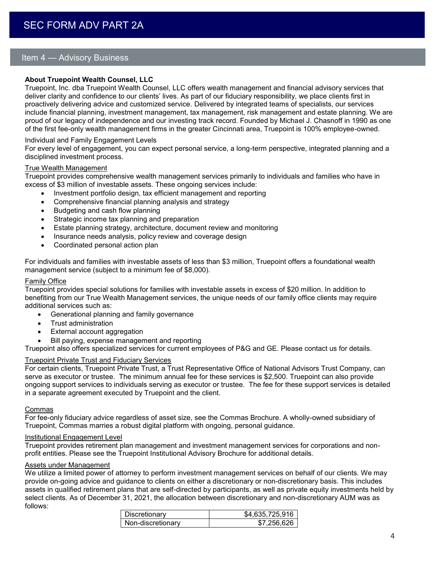## Item 4 — Advisory Business

## **About Truepoint Wealth Counsel, LLC**

Truepoint, Inc. dba Truepoint Wealth Counsel, LLC offers wealth management and financial advisory services that deliver clarity and confidence to our clients' lives. As part of our fiduciary responsibility, we place clients first in proactively delivering advice and customized service. Delivered by integrated teams of specialists, our services include financial planning, investment management, tax management, risk management and estate planning. We are proud of our legacy of independence and our investing track record. Founded by Michael J. Chasnoff in 1990 as one of the first fee-only wealth management firms in the greater Cincinnati area, Truepoint is 100% employee-owned.

## Individual and Family Engagement Levels

For every level of engagement, you can expect personal service, a long-term perspective, integrated planning and a disciplined investment process.

#### True Wealth Management

Truepoint provides comprehensive wealth management services primarily to individuals and families who have in excess of \$3 million of investable assets. These ongoing services include:

- Investment portfolio design, tax efficient management and reporting
- Comprehensive financial planning analysis and strategy
- Budgeting and cash flow planning
- Strategic income tax planning and preparation
- Estate planning strategy, architecture, document review and monitoring
- Insurance needs analysis, policy review and coverage design
- Coordinated personal action plan

For individuals and families with investable assets of less than \$3 million, Truepoint offers a foundational wealth management service (subject to a minimum fee of \$8,000).

## Family Office

Truepoint provides special solutions for families with investable assets in excess of \$20 million. In addition to benefiting from our True Wealth Management services, the unique needs of our family office clients may require additional services such as:

- Generational planning and family governance
- Trust administration
- External account aggregation
- Bill paying, expense management and reporting

Truepoint also offers specialized services for current employees of P&G and GE. Please contact us for details.

## Truepoint Private Trust and Fiduciary Services

For certain clients, Truepoint Private Trust, a Trust Representative Office of National Advisors Trust Company, can serve as executor or trustee. The minimum annual fee for these services is \$2,500. Truepoint can also provide ongoing support services to individuals serving as executor or trustee. The fee for these support services is detailed in a separate agreement executed by Truepoint and the client.

#### Commas

For fee-only fiduciary advice regardless of asset size, see the Commas Brochure. A wholly-owned subsidiary of Truepoint, Commas marries a robust digital platform with ongoing, personal guidance.

#### Institutional Engagement Level

Truepoint provides retirement plan management and investment management services for corporations and nonprofit entities. Please see the Truepoint Institutional Advisory Brochure for additional details.

#### Assets under Management

We utilize a limited power of attorney to perform investment management services on behalf of our clients. We may provide on-going advice and guidance to clients on either a discretionary or non-discretionary basis. This includes assets in qualified retirement plans that are self-directed by participants, as well as private equity investments held by select clients. As of December 31, 2021, the allocation between discretionary and non-discretionary AUM was as follows:

| Discretionary     | \$4.635.725.916 |
|-------------------|-----------------|
| Non-discretionary | \$7256626       |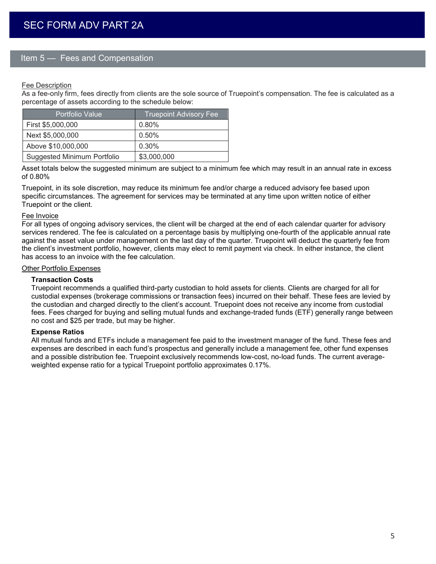## Item 5 — Fees and Compensation

## Fee Description

As a fee-only firm, fees directly from clients are the sole source of Truepoint's compensation. The fee is calculated as a percentage of assets according to the schedule below:

| Portfolio Value                    | <b>Truepoint Advisory Fee</b> |
|------------------------------------|-------------------------------|
| First \$5,000,000                  | 0.80%                         |
| Next \$5,000,000                   | 0.50%                         |
| Above \$10,000,000                 | 0.30%                         |
| <b>Suggested Minimum Portfolio</b> | \$3,000,000                   |

Asset totals below the suggested minimum are subject to a minimum fee which may result in an annual rate in excess of 0.80%

Truepoint, in its sole discretion, may reduce its minimum fee and/or charge a reduced advisory fee based upon specific circumstances. The agreement for services may be terminated at any time upon written notice of either Truepoint or the client.

#### Fee Invoice

For all types of ongoing advisory services, the client will be charged at the end of each calendar quarter for advisory services rendered. The fee is calculated on a percentage basis by multiplying one-fourth of the applicable annual rate against the asset value under management on the last day of the quarter. Truepoint will deduct the quarterly fee from the client's investment portfolio, however, clients may elect to remit payment via check. In either instance, the client has access to an invoice with the fee calculation.

## Other Portfolio Expenses

#### **Transaction Costs**

Truepoint recommends a qualified third-party custodian to hold assets for clients. Clients are charged for all for custodial expenses (brokerage commissions or transaction fees) incurred on their behalf. These fees are levied by the custodian and charged directly to the client's account. Truepoint does not receive any income from custodial fees. Fees charged for buying and selling mutual funds and exchange-traded funds (ETF) generally range between no cost and \$25 per trade, but may be higher.

#### **Expense Ratios**

All mutual funds and ETFs include a management fee paid to the investment manager of the fund. These fees and expenses are described in each fund's prospectus and generally include a management fee, other fund expenses and a possible distribution fee. Truepoint exclusively recommends low-cost, no-load funds. The current averageweighted expense ratio for a typical Truepoint portfolio approximates 0.17%.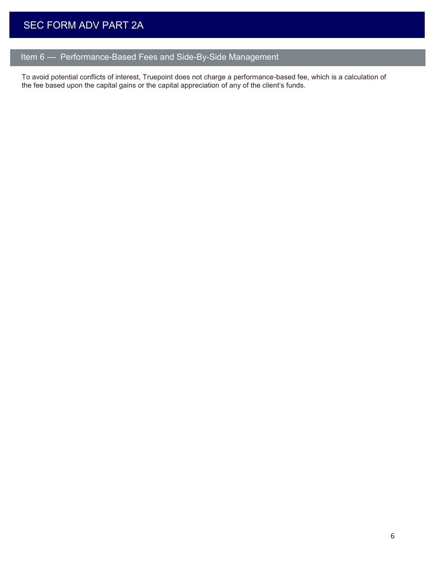# Item 6 — Performance-Based Fees and Side-By-Side Management

To avoid potential conflicts of interest, Truepoint does not charge a performance-based fee, which is a calculation of the fee based upon the capital gains or the capital appreciation of any of the client's funds.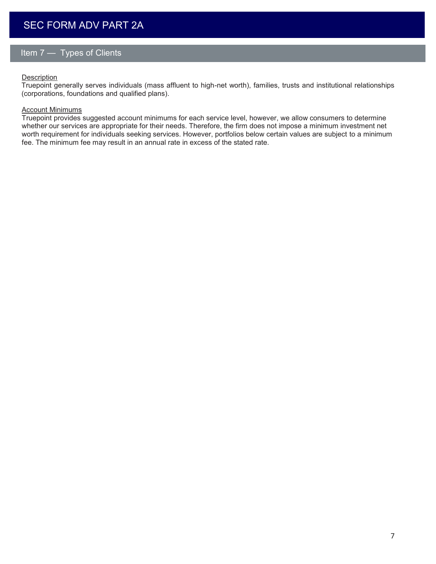# Item 7 — Types of Clients

## **Description**

Truepoint generally serves individuals (mass affluent to high-net worth), families, trusts and institutional relationships (corporations, foundations and qualified plans).

## Account Minimums

Truepoint provides suggested account minimums for each service level, however, we allow consumers to determine whether our services are appropriate for their needs. Therefore, the firm does not impose a minimum investment net worth requirement for individuals seeking services. However, portfolios below certain values are subject to a minimum fee. The minimum fee may result in an annual rate in excess of the stated rate.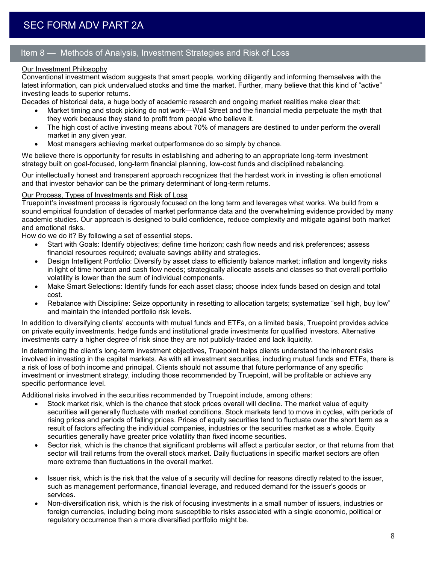## Item 8 — Methods of Analysis, Investment Strategies and Risk of Loss

## Our Investment Philosophy

Conventional investment wisdom suggests that smart people, working diligently and informing themselves with the latest information, can pick undervalued stocks and time the market. Further, many believe that this kind of "active" investing leads to superior returns.

Decades of historical data, a huge body of academic research and ongoing market realities make clear that:

- Market timing and stock picking do not work—Wall Street and the financial media perpetuate the myth that they work because they stand to profit from people who believe it.
- The high cost of active investing means about 70% of managers are destined to under perform the overall market in any given year.
- Most managers achieving market outperformance do so simply by chance.

We believe there is opportunity for results in establishing and adhering to an appropriate long-term investment strategy built on goal-focused, long-term financial planning, low-cost funds and disciplined rebalancing.

Our intellectually honest and transparent approach recognizes that the hardest work in investing is often emotional and that investor behavior can be the primary determinant of long-term returns.

## Our Process, Types of Investments and Risk of Loss

Truepoint's investment process is rigorously focused on the long term and leverages what works. We build from a sound empirical foundation of decades of market performance data and the overwhelming evidence provided by many academic studies. Our approach is designed to build confidence, reduce complexity and mitigate against both market and emotional risks.

How do we do it? By following a set of essential steps.

- Start with Goals: Identify objectives; define time horizon; cash flow needs and risk preferences; assess financial resources required; evaluate savings ability and strategies.
- Design Intelligent Portfolio: Diversify by asset class to efficiently balance market; inflation and longevity risks in light of time horizon and cash flow needs; strategically allocate assets and classes so that overall portfolio volatility is lower than the sum of individual components.
- Make Smart Selections: Identify funds for each asset class; choose index funds based on design and total cost.
- Rebalance with Discipline: Seize opportunity in resetting to allocation targets; systematize "sell high, buy low" and maintain the intended portfolio risk levels.

In addition to diversifying clients' accounts with mutual funds and ETFs, on a limited basis, Truepoint provides advice on private equity investments, hedge funds and institutional grade investments for qualified investors. Alternative investments carry a higher degree of risk since they are not publicly-traded and lack liquidity.

In determining the client's long-term investment objectives, Truepoint helps clients understand the inherent risks involved in investing in the capital markets. As with all investment securities, including mutual funds and ETFs, there is a risk of loss of both income and principal. Clients should not assume that future performance of any specific investment or investment strategy, including those recommended by Truepoint, will be profitable or achieve any specific performance level.

Additional risks involved in the securities recommended by Truepoint include, among others:

- Stock market risk, which is the chance that stock prices overall will decline. The market value of equity securities will generally fluctuate with market conditions. Stock markets tend to move in cycles, with periods of rising prices and periods of falling prices. Prices of equity securities tend to fluctuate over the short term as a result of factors affecting the individual companies, industries or the securities market as a whole. Equity securities generally have greater price volatility than fixed income securities.
- Sector risk, which is the chance that significant problems will affect a particular sector, or that returns from that sector will trail returns from the overall stock market. Daily fluctuations in specific market sectors are often more extreme than fluctuations in the overall market.
- Issuer risk, which is the risk that the value of a security will decline for reasons directly related to the issuer, such as management performance, financial leverage, and reduced demand for the issuer's goods or services.
- Non-diversification risk, which is the risk of focusing investments in a small number of issuers, industries or foreign currencies, including being more susceptible to risks associated with a single economic, political or regulatory occurrence than a more diversified portfolio might be.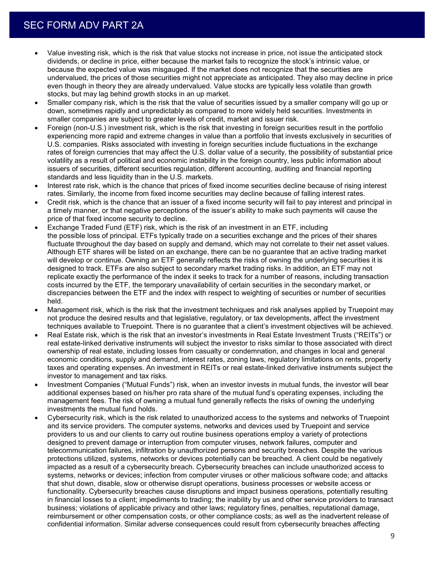- Value investing risk, which is the risk that value stocks not increase in price, not issue the anticipated stock dividends, or decline in price, either because the market fails to recognize the stock's intrinsic value, or because the expected value was misgauged. If the market does not recognize that the securities are undervalued, the prices of those securities might not appreciate as anticipated. They also may decline in price even though in theory they are already undervalued. Value stocks are typically less volatile than growth stocks, but may lag behind growth stocks in an up market.
- Smaller company risk, which is the risk that the value of securities issued by a smaller company will go up or down, sometimes rapidly and unpredictably as compared to more widely held securities. Investments in smaller companies are subject to greater levels of credit, market and issuer risk.
- Foreign (non-U.S.) investment risk, which is the risk that investing in foreign securities result in the portfolio experiencing more rapid and extreme changes in value than a portfolio that invests exclusively in securities of U.S. companies. Risks associated with investing in foreign securities include fluctuations in the exchange rates of foreign currencies that may affect the U.S. dollar value of a security, the possibility of substantial price volatility as a result of political and economic instability in the foreign country, less public information about issuers of securities, different securities regulation, different accounting, auditing and financial reporting standards and less liquidity than in the U.S. markets.
- Interest rate risk, which is the chance that prices of fixed income securities decline because of rising interest rates. Similarly, the income from fixed income securities may decline because of falling interest rates.
- Credit risk, which is the chance that an issuer of a fixed income security will fail to pay interest and principal in a timely manner, or that negative perceptions of the issuer's ability to make such payments will cause the price of that fixed income security to decline.
- Exchange Traded Fund (ETF) risk, which is the risk of an investment in an ETF, including the possible loss of principal. ETFs typically trade on a securities exchange and the prices of their shares fluctuate throughout the day based on supply and demand, which may not correlate to their net asset values. Although ETF shares will be listed on an exchange, there can be no guarantee that an active trading market will develop or continue. Owning an ETF generally reflects the risks of owning the underlying securities it is designed to track. ETFs are also subject to secondary market trading risks. In addition, an ETF may not replicate exactly the performance of the index it seeks to track for a number of reasons, including transaction costs incurred by the ETF, the temporary unavailability of certain securities in the secondary market, or discrepancies between the ETF and the index with respect to weighting of securities or number of securities held.
- Management risk, which is the risk that the investment techniques and risk analyses applied by Truepoint may not produce the desired results and that legislative, regulatory, or tax developments, affect the investment techniques available to Truepoint. There is no guarantee that a client's investment objectives will be achieved.
- Real Estate risk, which is the risk that an investor's investments in Real Estate Investment Trusts ("REITs") or real estate-linked derivative instruments will subject the investor to risks similar to those associated with direct ownership of real estate, including losses from casualty or condemnation, and changes in local and general economic conditions, supply and demand, interest rates, zoning laws, regulatory limitations on rents, property taxes and operating expenses. An investment in REITs or real estate-linked derivative instruments subject the investor to management and tax risks.
- Investment Companies ("Mutual Funds") risk, when an investor invests in mutual funds, the investor will bear additional expenses based on his/her pro rata share of the mutual fund's operating expenses, including the management fees. The risk of owning a mutual fund generally reflects the risks of owning the underlying investments the mutual fund holds.
- Cybersecurity risk, which is the risk related to unauthorized access to the systems and networks of Truepoint and its service providers. The computer systems, networks and devices used by Truepoint and service providers to us and our clients to carry out routine business operations employ a variety of protections designed to prevent damage or interruption from computer viruses, network failures, computer and telecommunication failures, infiltration by unauthorized persons and security breaches. Despite the various protections utilized, systems, networks or devices potentially can be breached. A client could be negatively impacted as a result of a cybersecurity breach. Cybersecurity breaches can include unauthorized access to systems, networks or devices; infection from computer viruses or other malicious software code; and attacks that shut down, disable, slow or otherwise disrupt operations, business processes or website access or functionality. Cybersecurity breaches cause disruptions and impact business operations, potentially resulting in financial losses to a client; impediments to trading; the inability by us and other service providers to transact business; violations of applicable privacy and other laws; regulatory fines, penalties, reputational damage, reimbursement or other compensation costs, or other compliance costs; as well as the inadvertent release of confidential information. Similar adverse consequences could result from cybersecurity breaches affecting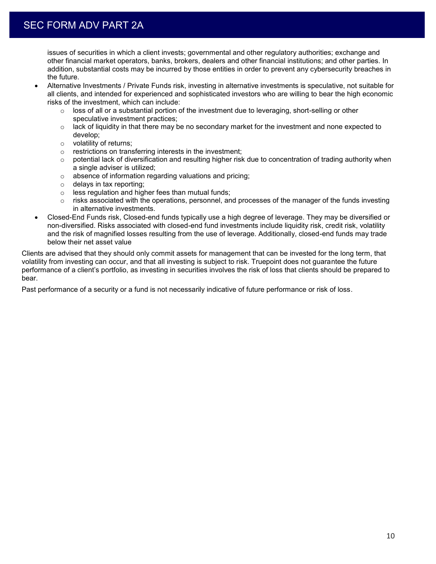issues of securities in which a client invests; governmental and other regulatory authorities; exchange and other financial market operators, banks, brokers, dealers and other financial institutions; and other parties. In addition, substantial costs may be incurred by those entities in order to prevent any cybersecurity breaches in the future.

- Alternative Investments / Private Funds risk, investing in alternative investments is speculative, not suitable for all clients, and intended for experienced and sophisticated investors who are willing to bear the high economic risks of the investment, which can include:
	- $\circ$  loss of all or a substantial portion of the investment due to leveraging, short-selling or other speculative investment practices;
	- $\circ$  lack of liquidity in that there may be no secondary market for the investment and none expected to develop;
	- o volatility of returns;
	- o restrictions on transferring interests in the investment;
	- $\circ$  potential lack of diversification and resulting higher risk due to concentration of trading authority when a single adviser is utilized;
	- o absence of information regarding valuations and pricing;
	- o delays in tax reporting;
	- o less regulation and higher fees than mutual funds;
	- $\circ$  risks associated with the operations, personnel, and processes of the manager of the funds investing in alternative investments.
- Closed-End Funds risk, Closed-end funds typically use a high degree of leverage. They may be diversified or non-diversified. Risks associated with closed-end fund investments include liquidity risk, credit risk, volatility and the risk of magnified losses resulting from the use of leverage. Additionally, closed-end funds may trade below their net asset value

Clients are advised that they should only commit assets for management that can be invested for the long term, that volatility from investing can occur, and that all investing is subject to risk. Truepoint does not guarantee the future performance of a client's portfolio, as investing in securities involves the risk of loss that clients should be prepared to bear.

Past performance of a security or a fund is not necessarily indicative of future performance or risk of loss.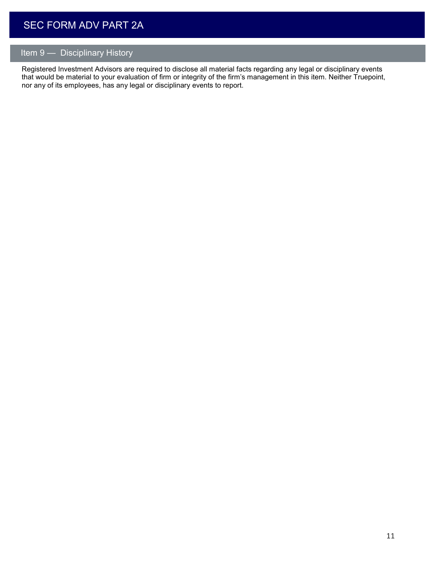# Item 9 — Disciplinary History

Registered Investment Advisors are required to disclose all material facts regarding any legal or disciplinary events that would be material to your evaluation of firm or integrity of the firm's management in this item. Neither Truepoint, nor any of its employees, has any legal or disciplinary events to report.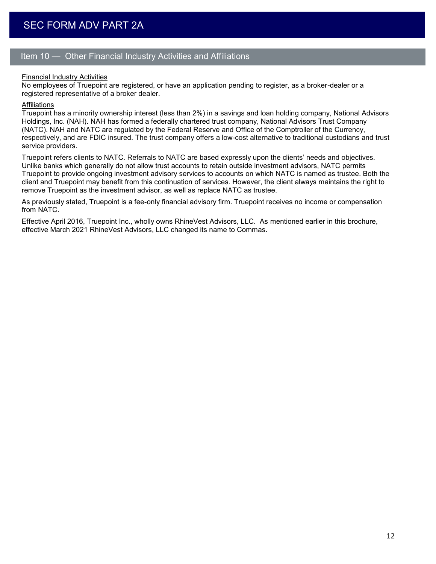## Item 10 — Other Financial Industry Activities and Affiliations

## Financial Industry Activities

No employees of Truepoint are registered, or have an application pending to register, as a broker-dealer or a registered representative of a broker dealer.

#### Affiliations

Truepoint has a minority ownership interest (less than 2%) in a savings and loan holding company, National Advisors Holdings, Inc. (NAH). NAH has formed a federally chartered trust company, National Advisors Trust Company (NATC). NAH and NATC are regulated by the Federal Reserve and Office of the Comptroller of the Currency, respectively, and are FDIC insured. The trust company offers a low-cost alternative to traditional custodians and trust service providers.

Truepoint refers clients to NATC. Referrals to NATC are based expressly upon the clients' needs and objectives. Unlike banks which generally do not allow trust accounts to retain outside investment advisors, NATC permits Truepoint to provide ongoing investment advisory services to accounts on which NATC is named as trustee. Both the client and Truepoint may benefit from this continuation of services. However, the client always maintains the right to remove Truepoint as the investment advisor, as well as replace NATC as trustee.

As previously stated, Truepoint is a fee-only financial advisory firm. Truepoint receives no income or compensation from NATC.

Effective April 2016, Truepoint Inc., wholly owns RhineVest Advisors, LLC. As mentioned earlier in this brochure, effective March 2021 RhineVest Advisors, LLC changed its name to Commas.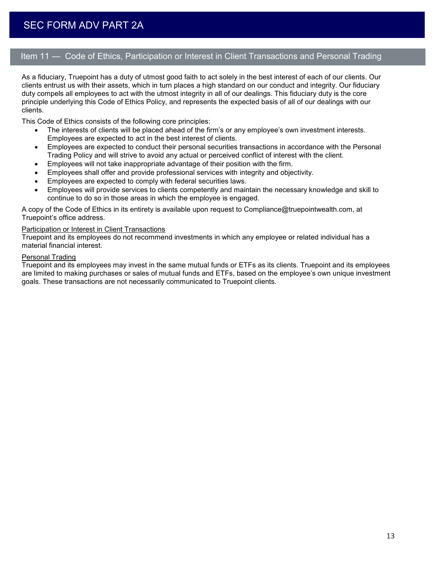## Item 11 — Code of Ethics, Participation or Interest in Client Transactions and Personal Trading

As a fiduciary, Truepoint has a duty of utmost good faith to act solely in the best interest of each of our clients. Our clients entrust us with their assets, which in turn places a high standard on our conduct and integrity. Our fiduciary duty compels all employees to act with the utmost integrity in all of our dealings. This fiduciary duty is the core principle underlying this Code of Ethics Policy, and represents the expected basis of all of our dealings with our clients.

This Code of Ethics consists of the following core principles:

- The interests of clients will be placed ahead of the firm's or any employee's own investment interests. Employees are expected to act in the best interest of clients.
- Employees are expected to conduct their personal securities transactions in accordance with the Personal Trading Policy and will strive to avoid any actual or perceived conflict of interest with the client.
- Employees will not take inappropriate advantage of their position with the firm.
- Employees shall offer and provide professional services with integrity and objectivity.
- Employees are expected to comply with federal securities laws.
- Employees will provide services to clients competently and maintain the necessary knowledge and skill to continue to do so in those areas in which the employee is engaged.

A copy of the Code of Ethics in its entirety is available upon request to Compliance@truepointwealth.com, at Truepoint's office address.

## Participation or Interest in Client Transactions

Truepoint and its employees do not recommend investments in which any employee or related individual has a material financial interest.

## Personal Trading

Truepoint and its employees may invest in the same mutual funds or ETFs as its clients. Truepoint and its employees are limited to making purchases or sales of mutual funds and ETFs, based on the employee's own unique investment goals. These transactions are not necessarily communicated to Truepoint clients.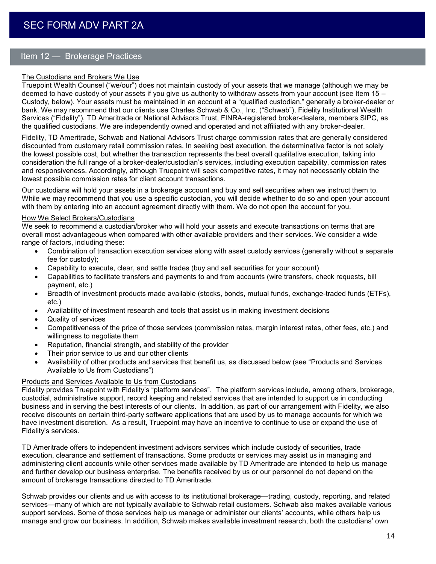## Item 12 — Brokerage Practices

## The Custodians and Brokers We Use

Truepoint Wealth Counsel ("we/our") does not maintain custody of your assets that we manage (although we may be deemed to have custody of your assets if you give us authority to withdraw assets from your account (see Item 15 – Custody, below). Your assets must be maintained in an account at a "qualified custodian," generally a broker-dealer or bank. We may recommend that our clients use Charles Schwab & Co., Inc. ("Schwab"), Fidelity Institutional Wealth Services ("Fidelity"), TD Ameritrade or National Advisors Trust, FINRA-registered broker-dealers, members SIPC, as the qualified custodians. We are independently owned and operated and not affiliated with any broker-dealer.

Fidelity, TD Ameritrade, Schwab and National Advisors Trust charge commission rates that are generally considered discounted from customary retail commission rates. In seeking best execution, the determinative factor is not solely the lowest possible cost, but whether the transaction represents the best overall qualitative execution, taking into consideration the full range of a broker-dealer/custodian's services, including execution capability, commission rates and responsiveness. Accordingly, although Truepoint will seek competitive rates, it may not necessarily obtain the lowest possible commission rates for client account transactions.

Our custodians will hold your assets in a brokerage account and buy and sell securities when we instruct them to. While we may recommend that you use a specific custodian, you will decide whether to do so and open your account with them by entering into an account agreement directly with them. We do not open the account for you.

#### How We Select Brokers/Custodians

We seek to recommend a custodian/broker who will hold your assets and execute transactions on terms that are overall most advantageous when compared with other available providers and their services. We consider a wide range of factors, including these:

- Combination of transaction execution services along with asset custody services (generally without a separate fee for custody);
- Capability to execute, clear, and settle trades (buy and sell securities for your account)
- Capabilities to facilitate transfers and payments to and from accounts (wire transfers, check requests, bill payment, etc.)
- Breadth of investment products made available (stocks, bonds, mutual funds, exchange-traded funds (ETFs), etc.)
- Availability of investment research and tools that assist us in making investment decisions
- Quality of services
- Competitiveness of the price of those services (commission rates, margin interest rates, other fees, etc.) and willingness to negotiate them
- Reputation, financial strength, and stability of the provider
- Their prior service to us and our other clients
- Availability of other products and services that benefit us, as discussed below (see "Products and Services Available to Us from Custodians")

## Products and Services Available to Us from Custodians

Fidelity provides Truepoint with Fidelity's "platform services". The platform services include, among others, brokerage, custodial, administrative support, record keeping and related services that are intended to support us in conducting business and in serving the best interests of our clients. In addition, as part of our arrangement with Fidelity, we also receive discounts on certain third-party software applications that are used by us to manage accounts for which we have investment discretion. As a result, Truepoint may have an incentive to continue to use or expand the use of Fidelity's services.

TD Ameritrade offers to independent investment advisors services which include custody of securities, trade execution, clearance and settlement of transactions. Some products or services may assist us in managing and administering client accounts while other services made available by TD Ameritrade are intended to help us manage and further develop our business enterprise. The benefits received by us or our personnel do not depend on the amount of brokerage transactions directed to TD Ameritrade.

Schwab provides our clients and us with access to its institutional brokerage—trading, custody, reporting, and related services—many of which are not typically available to Schwab retail customers. Schwab also makes available various support services. Some of those services help us manage or administer our clients' accounts, while others help us manage and grow our business. In addition, Schwab makes available investment research, both the custodians' own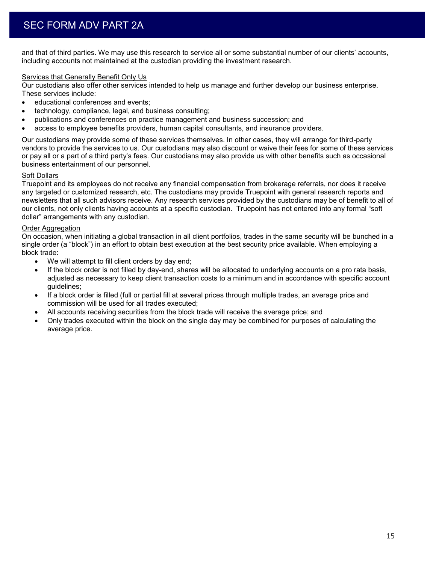and that of third parties. We may use this research to service all or some substantial number of our clients' accounts, including accounts not maintained at the custodian providing the investment research.

## Services that Generally Benefit Only Us

Our custodians also offer other services intended to help us manage and further develop our business enterprise. These services include:

- **educational conferences and events;**
- technology, compliance, legal, and business consulting;
- publications and conferences on practice management and business succession; and
- access to employee benefits providers, human capital consultants, and insurance providers.

Our custodians may provide some of these services themselves. In other cases, they will arrange for third-party vendors to provide the services to us. Our custodians may also discount or waive their fees for some of these services or pay all or a part of a third party's fees. Our custodians may also provide us with other benefits such as occasional business entertainment of our personnel.

## Soft Dollars

Truepoint and its employees do not receive any financial compensation from brokerage referrals, nor does it receive any targeted or customized research, etc. The custodians may provide Truepoint with general research reports and newsletters that all such advisors receive. Any research services provided by the custodians may be of benefit to all of our clients, not only clients having accounts at a specific custodian. Truepoint has not entered into any formal "soft dollar" arrangements with any custodian.

## Order Aggregation

On occasion, when initiating a global transaction in all client portfolios, trades in the same security will be bunched in a single order (a "block") in an effort to obtain best execution at the best security price available. When employing a block trade:

- We will attempt to fill client orders by day end;
- If the block order is not filled by day-end, shares will be allocated to underlying accounts on a pro rata basis, adjusted as necessary to keep client transaction costs to a minimum and in accordance with specific account guidelines;
- If a block order is filled (full or partial fill at several prices through multiple trades, an average price and commission will be used for all trades executed;
- All accounts receiving securities from the block trade will receive the average price; and
- Only trades executed within the block on the single day may be combined for purposes of calculating the average price.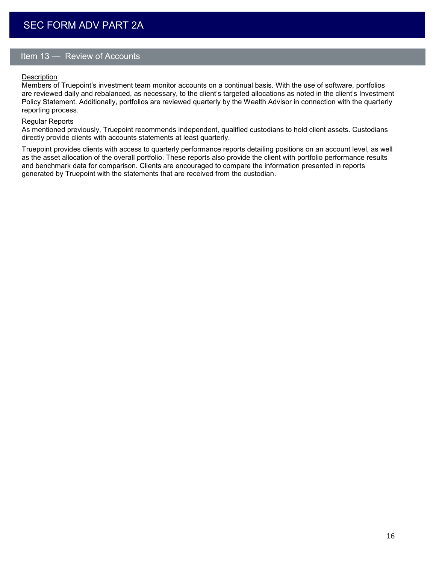## Item 13 — Review of Accounts

## **Description**

Members of Truepoint's investment team monitor accounts on a continual basis. With the use of software, portfolios are reviewed daily and rebalanced, as necessary, to the client's targeted allocations as noted in the client's Investment Policy Statement. Additionally, portfolios are reviewed quarterly by the Wealth Advisor in connection with the quarterly reporting process.

#### Regular Reports

As mentioned previously, Truepoint recommends independent, qualified custodians to hold client assets. Custodians directly provide clients with accounts statements at least quarterly.

Truepoint provides clients with access to quarterly performance reports detailing positions on an account level, as well as the asset allocation of the overall portfolio. These reports also provide the client with portfolio performance results and benchmark data for comparison. Clients are encouraged to compare the information presented in reports generated by Truepoint with the statements that are received from the custodian.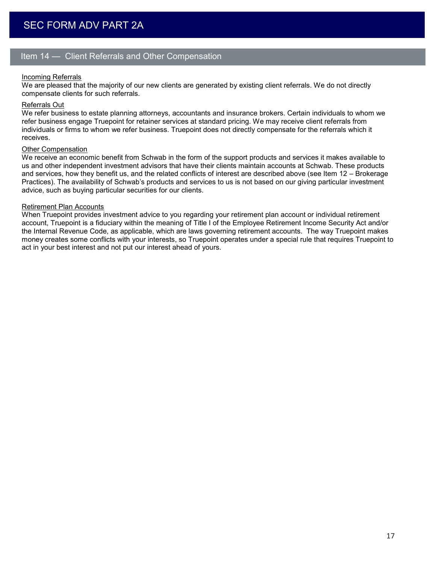## Item 14 — Client Referrals and Other Compensation

## Incoming Referrals

We are pleased that the majority of our new clients are generated by existing client referrals. We do not directly compensate clients for such referrals.

## Referrals Out

We refer business to estate planning attorneys, accountants and insurance brokers. Certain individuals to whom we refer business engage Truepoint for retainer services at standard pricing. We may receive client referrals from individuals or firms to whom we refer business. Truepoint does not directly compensate for the referrals which it receives.

#### Other Compensation

We receive an economic benefit from Schwab in the form of the support products and services it makes available to us and other independent investment advisors that have their clients maintain accounts at Schwab. These products and services, how they benefit us, and the related conflicts of interest are described above (see Item 12 – Brokerage Practices). The availability of Schwab's products and services to us is not based on our giving particular investment advice, such as buying particular securities for our clients.

#### Retirement Plan Accounts

When Truepoint provides investment advice to you regarding your retirement plan account or individual retirement account, Truepoint is a fiduciary within the meaning of Title I of the Employee Retirement Income Security Act and/or the Internal Revenue Code, as applicable, which are laws governing retirement accounts. The way Truepoint makes money creates some conflicts with your interests, so Truepoint operates under a special rule that requires Truepoint to act in your best interest and not put our interest ahead of yours.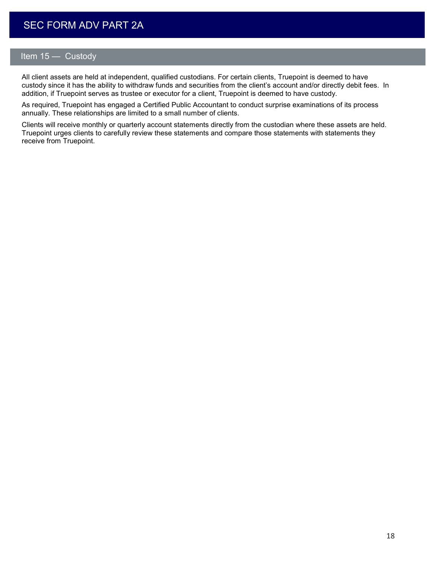# **SEC FORM ADV PART 2A**

## Item 15 — Custody

All client assets are held at independent, qualified custodians. For certain clients, Truepoint is deemed to have custody since it has the ability to withdraw funds and securities from the client's account and/or directly debit fees. In addition, if Truepoint serves as trustee or executor for a client, Truepoint is deemed to have custody.

As required, Truepoint has engaged a Certified Public Accountant to conduct surprise examinations of its process annually. These relationships are limited to a small number of clients.

Clients will receive monthly or quarterly account statements directly from the custodian where these assets are held. Truepoint urges clients to carefully review these statements and compare those statements with statements they receive from Truepoint.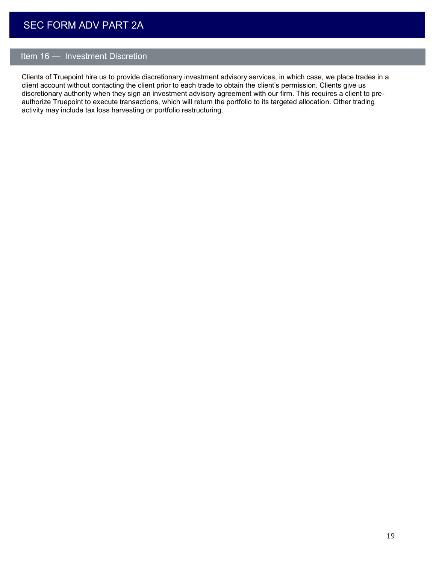# **SEC FORM ADV PART 2A**

## Item 16 — Investment Discretion

Clients of Truepoint hire us to provide discretionary investment advisory services, in which case, we place trades in a client account without contacting the client prior to each trade to obtain the client's permission. Clients give us discretionary authority when they sign an investment advisory agreement with our firm. This requires a client to preauthorize Truepoint to execute transactions, which will return the portfolio to its targeted allocation. Other trading activity may include tax loss harvesting or portfolio restructuring.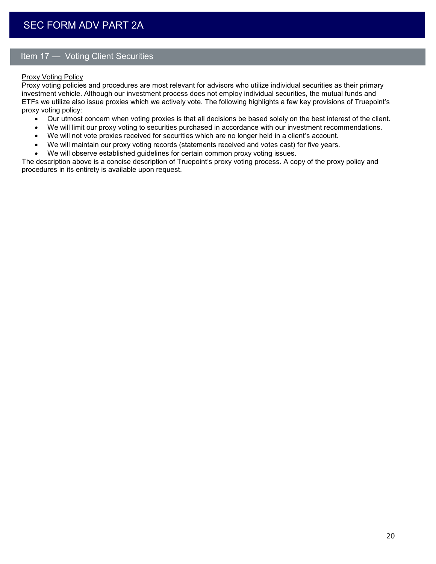## Item 17 — Voting Client Securities

## Proxy Voting Policy

Proxy voting policies and procedures are most relevant for advisors who utilize individual securities as their primary investment vehicle. Although our investment process does not employ individual securities, the mutual funds and ETFs we utilize also issue proxies which we actively vote. The following highlights a few key provisions of Truepoint's proxy voting policy:

- Our utmost concern when voting proxies is that all decisions be based solely on the best interest of the client.
- We will limit our proxy voting to securities purchased in accordance with our investment recommendations.
- We will not vote proxies received for securities which are no longer held in a client's account.
- We will maintain our proxy voting records (statements received and votes cast) for five years.
- We will observe established guidelines for certain common proxy voting issues.

The description above is a concise description of Truepoint's proxy voting process. A copy of the proxy policy and procedures in its entirety is available upon request.